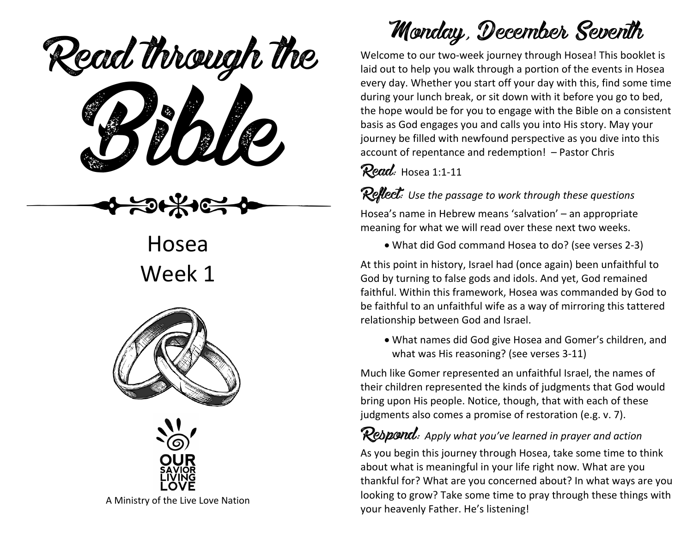Read through the



Hosea Week 1





A Ministry of the Live Love Nation

# Monday, December Seventh

Welcome to our two-week journey through Hosea! This booklet is laid out to help you walk through a portion of the events in Hosea every day. Whether you start off your day with this, find some time during your lunch break, or sit down with it before you go to bed, the hope would be for you to engage with the Bible on a consistent basis as God engages you and calls you into His story. May your journey be filled with newfound perspective as you dive into this account of repentance and redemption! – Pastor Chris

#### Read: Hosea 1:1-11

Reflect: *Use the passage to work through these questions*

Hosea's name in Hebrew means 'salvation' – an appropriate meaning for what we will read over these next two weeks.

• What did God command Hosea to do? (see verses 2-3)

At this point in history, Israel had (once again) been unfaithful to God by turning to false gods and idols. And yet, God remained faithful. Within this framework, Hosea was commanded by God to be faithful to an unfaithful wife as a way of mirroring this tattered relationship between God and Israel.

• What names did God give Hosea and Gomer's children, and what was His reasoning? (see verses 3-11)

Much like Gomer represented an unfaithful Israel, the names of their children represented the kinds of judgments that God would bring upon His people. Notice, though, that with each of these judgments also comes a promise of restoration (e.g. v. 7).

## Respond: *Apply what you've learned in prayer and action*

As you begin this journey through Hosea, take some time to think about what is meaningful in your life right now. What are you thankful for? What are you concerned about? In what ways are you looking to grow? Take some time to pray through these things with your heavenly Father. He's listening!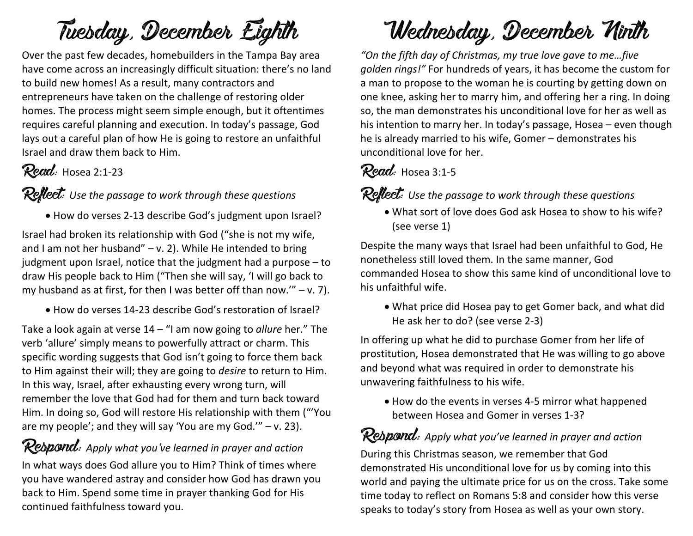# Tuesday, December Eighth

Over the past few decades, homebuilders in the Tampa Bay area have come across an increasingly difficult situation: there's no land to build new homes! As a result, many contractors and entrepreneurs have taken on the challenge of restoring older homes. The process might seem simple enough, but it oftentimes requires careful planning and execution. In today's passage, God lays out a careful plan of how He is going to restore an unfaithful Israel and draw them back to Him.

## Read: Hosea 2:1-23

#### Reflect: Use the passage to work through these questions

• How do verses 2-13 describe God's judgment upon Israel?

Israel had broken its relationship with God ("she is not my wife, and I am not her husband" – v. 2). While He intended to bring judgment upon Israel, notice that the judgment had a purpose – to draw His people back to Him ("Then she will say, 'I will go back to my husband as at first, for then I was better off than now.'"  $- v. 7$ ).

• How do verses 14-23 describe God's restoration of Israel?

Take a look again at verse 14 – "I am now going to *allure* her." The verb 'allure' simply means to powerfully attract or charm. This specific wording suggests that God isn't going to force them back to Him against their will; they are going to *desire* to return to Him. In this way, Israel, after exhausting every wrong turn, will remember the love that God had for them and turn back toward Him. In doing so, God will restore His relationship with them ("'You are my people'; and they will say 'You are my God.'" – v. 23).

## Respond: *Apply what you've learned in prayer and action*

In what ways does God allure you to Him? Think of times where you have wandered astray and consider how God has drawn you back to Him. Spend some time in prayer thanking God for His continued faithfulness toward you.

# Wednesday, December Ninth

*"On the fifth day of Christmas, my true love gave to me…five golden rings!"* For hundreds of years, it has become the custom for a man to propose to the woman he is courting by getting down on one knee, asking her to marry him, and offering her a ring. In doing so, the man demonstrates his unconditional love for her as well as his intention to marry her. In today's passage, Hosea – even though he is already married to his wife, Gomer – demonstrates his unconditional love for her.

### Read: Hosea 3:1-5

Reflect: Use the passage to work through these questions

• What sort of love does God ask Hosea to show to his wife? (see verse 1)

Despite the many ways that Israel had been unfaithful to God, He nonetheless still loved them. In the same manner, God commanded Hosea to show this same kind of unconditional love to his unfaithful wife.

• What price did Hosea pay to get Gomer back, and what did He ask her to do? (see verse 2-3)

In offering up what he did to purchase Gomer from her life of prostitution, Hosea demonstrated that He was willing to go above and beyond what was required in order to demonstrate his unwavering faithfulness to his wife.

• How do the events in verses 4-5 mirror what happened between Hosea and Gomer in verses 1-3?

### Respond: *Apply what you've learned in prayer and action*

During this Christmas season, we remember that God demonstrated His unconditional love for us by coming into this world and paying the ultimate price for us on the cross. Take some time today to reflect on Romans 5:8 and consider how this verse speaks to today's story from Hosea as well as your own story.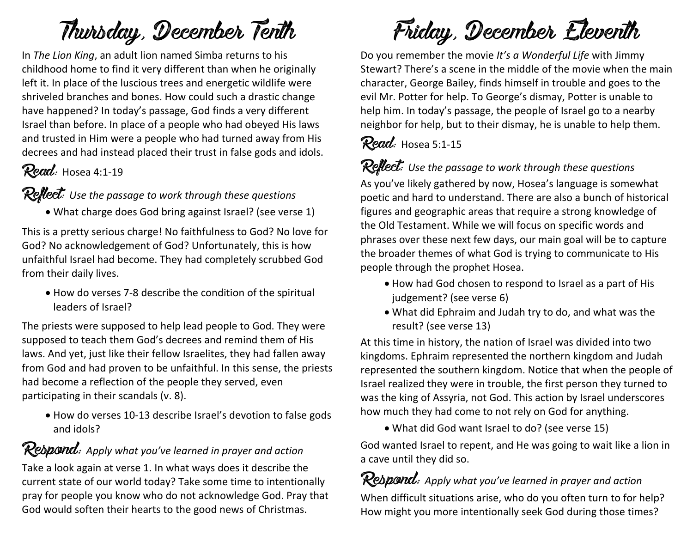# Thursday, December Tenth

In *The Lion King*, an adult lion named Simba returns to his childhood home to find it very different than when he originally left it. In place of the luscious trees and energetic wildlife were shriveled branches and bones. How could such a drastic change have happened? In today's passage, God finds a very different Israel than before. In place of a people who had obeyed His laws and trusted in Him were a people who had turned away from His decrees and had instead placed their trust in false gods and idols.

## Read: Hosea 4:1-19

#### Reflect: *Use the passage to work through these questions*

• What charge does God bring against Israel? (see verse 1)

This is a pretty serious charge! No faithfulness to God? No love for God? No acknowledgement of God? Unfortunately, this is how unfaithful Israel had become. They had completely scrubbed God from their daily lives.

• How do verses 7-8 describe the condition of the spiritual leaders of Israel?

The priests were supposed to help lead people to God. They were supposed to teach them God's decrees and remind them of His laws. And yet, just like their fellow Israelites, they had fallen away from God and had proven to be unfaithful. In this sense, the priests had become a reflection of the people they served, even participating in their scandals (v. 8).

• How do verses 10-13 describe Israel's devotion to false gods and idols?

### Respond: *Apply what you've learned in prayer and action*

Take a look again at verse 1. In what ways does it describe the current state of our world today? Take some time to intentionally pray for people you know who do not acknowledge God. Pray that God would soften their hearts to the good news of Christmas.

Friday, December Eleventh

Do you remember the movie *It's a Wonderful Life* with Jimmy Stewart? There's a scene in the middle of the movie when the main character, George Bailey, finds himself in trouble and goes to the evil Mr. Potter for help. To George's dismay, Potter is unable to help him. In today's passage, the people of Israel go to a nearby neighbor for help, but to their dismay, he is unable to help them.

### Read: Hosea 5:1-15

#### Reflect: *Use the passage to work through these questions*

As you've likely gathered by now, Hosea's language is somewhat poetic and hard to understand. There are also a bunch of historical figures and geographic areas that require a strong knowledge of the Old Testament. While we will focus on specific words and phrases over these next few days, our main goal will be to capture the broader themes of what God is trying to communicate to His people through the prophet Hosea.

- How had God chosen to respond to Israel as a part of His judgement? (see verse 6)
- What did Ephraim and Judah try to do, and what was the result? (see verse 13)

At this time in history, the nation of Israel was divided into two kingdoms. Ephraim represented the northern kingdom and Judah represented the southern kingdom. Notice that when the people of Israel realized they were in trouble, the first person they turned to was the king of Assyria, not God. This action by Israel underscores how much they had come to not rely on God for anything.

• What did God want Israel to do? (see verse 15)

God wanted Israel to repent, and He was going to wait like a lion in a cave until they did so.

**Respond:** Apply what you've learned in prayer and action When difficult situations arise, who do you often turn to for help? How might you more intentionally seek God during those times?